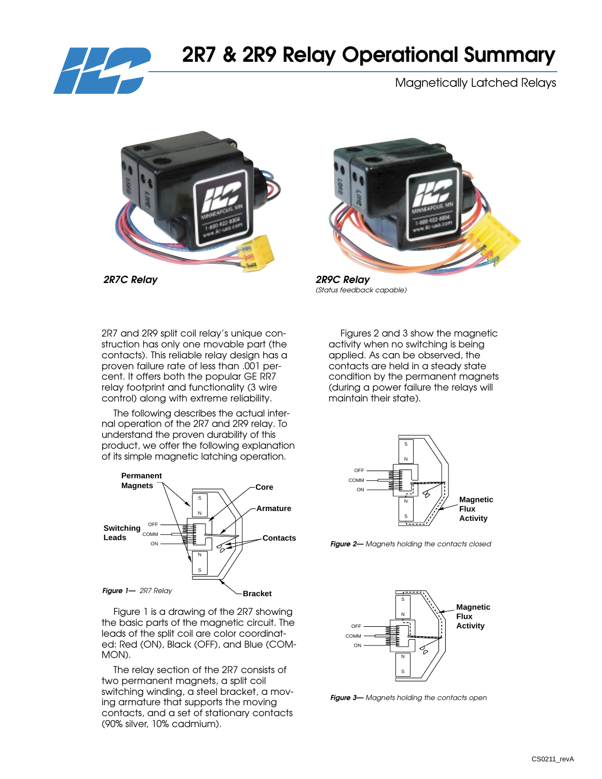

# **2R7 & 2R9 Relay Operational Summary**

Magnetically Latched Relays



*2R7C Relay 2R9C Relay*



*(Status feedback capable)*

2R7 and 2R9 split coil relay's unique construction has only one movable part (the contacts). This reliable relay design has a proven failure rate of less than .001 percent. It offers both the popular GE RR7 relay footprint and functionality (3 wire control) along with extreme reliability.

The following describes the actual internal operation of the 2R7 and 2R9 relay. To understand the proven durability of this product, we offer the following explanation of its simple magnetic latching operation.



Figure 1 is a drawing of the 2R7 showing the basic parts of the magnetic circuit. The leads of the split coil are color coordinated: Red (ON), Black (OFF), and Blue (COM-MON).

The relay section of the 2R7 consists of two permanent magnets, a split coil switching winding, a steel bracket, a moving armature that supports the moving contacts, and a set of stationary contacts (90% silver, 10% cadmium).

Figures 2 and 3 show the magnetic activity when no switching is being applied. As can be observed, the contacts are held in a steady state condition by the permanent magnets (during a power failure the relays will maintain their state).



*Figure 2— Magnets holding the contacts closed*



*Figure 3— Magnets holding the contacts open*